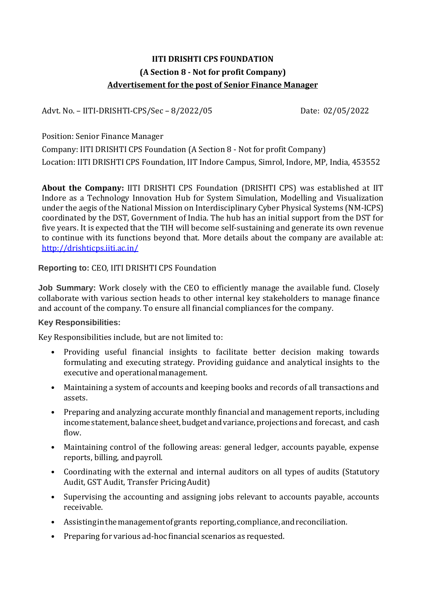# **IITI DRISHTI CPS FOUNDATION (A Section 8 - Not for profit Company) Advertisement for the post of Senior Finance Manager**

Advt. No. – IITI-DRISHTI-CPS/Sec – 8/2022/05 Date: 02/05/2022

Position: Senior Finance Manager

Company: IITI DRISHTI CPS Foundation (A Section 8 - Not for profit Company) Location: IITI DRISHTI CPS Foundation, IIT Indore Campus, Simrol, Indore, MP, India, 453552

**About the Company:** IITI DRISHTI CPS Foundation (DRISHTI CPS) was established at IIT Indore as a Technology Innovation Hub for System Simulation, Modelling and Visualization under the aegis of the National Mission on Interdisciplinary Cyber Physical Systems (NM-ICPS) coordinated by the DST, Government of India. The hub has an initial support from the DST for five years. It is expected that the TIH will become self-sustaining and generate its own revenue to continue with its functions beyond that. More details about the company are available at: <http://drishticps.iiti.ac.in/>

#### **Reporting to:** CEO, IITI DRISHTI CPS Foundation

**Job Summary:** Work closely with the CEO to efficiently manage the available fund. Closely collaborate with various section heads to other internal key stakeholders to manage finance and account of the company. To ensure all financial compliances for the company.

#### **Key Responsibilities:**

Key Responsibilities include, but are not limited to:

- Providing useful financial insights to facilitate better decision making towards formulating and executing strategy. Providing guidance and analytical insights to the executive and operationalmanagement.
- Maintaining a system of accounts and keeping books and records of all transactions and assets.
- Preparing and analyzing accurate monthly financial and management reports, including income statement, balance sheet, budget and variance, projections and forecast, and cash flow.
- Maintaining control of the following areas: general ledger, accounts payable, expense reports, billing, andpayroll.
- Coordinating with the external and internal auditors on all types of audits (Statutory Audit, GST Audit, Transfer PricingAudit)
- Supervising the accounting and assigning jobs relevant to accounts payable, accounts receivable.
- Assisting in the management of grants reporting, compliance, and reconciliation.
- Preparing for various ad-hoc financial scenarios as requested.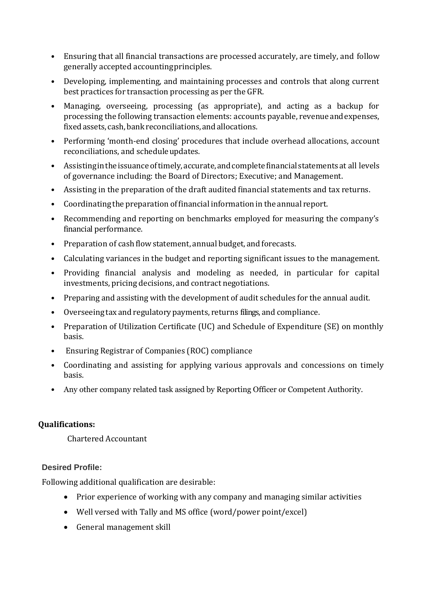- Ensuring that all financial transactions are processed accurately, are timely, and follow generally accepted accountingprinciples.
- Developing, implementing, and maintaining processes and controls that along current best practices for transaction processing as per the GFR.
- Managing, overseeing, processing (as appropriate), and acting as a backup for processing the following transaction elements: accounts payable, revenueandexpenses, fixedassets, cash,bankreconciliations, andallocations.
- Performing 'month-end closing' procedures that include overhead allocations, account reconciliations, and scheduleupdates.
- Assisting in the issuance of timely, accurate, and complete financial statements at all levels of governance including: the Board of Directors; Executive; and Management.
- Assisting in the preparation of the draft audited financial statements and tax returns.
- Coordinating the preparation offinancial information in the annual report.
- Recommending and reporting on benchmarks employed for measuring the company's financial performance.
- Preparation of cash flowstatement, annual budget, and forecasts.
- Calculating variances in the budget and reporting significant issues to the management.
- Providing financial analysis and modeling as needed, in particular for capital investments, pricing decisions, and contract negotiations.
- Preparing and assisting with the development of audit schedules for the annual audit.
- Overseeing tax and regulatorypayments, returns filings, and compliance.
- Preparation of Utilization Certificate (UC) and Schedule of Expenditure (SE) on monthly basis.
- Ensuring Registrar of Companies (ROC) compliance
- Coordinating and assisting for applying various approvals and concessions on timely basis.
- Any other company related task assigned by Reporting Officer or Competent Authority.

## **Qualifications:**

Chartered Accountant

## **Desired Profile:**

Following additional qualification are desirable:

- Prior experience of working with any company and managing similar activities
- Well versed with Tally and MS office (word/power point/excel)
- General management skill